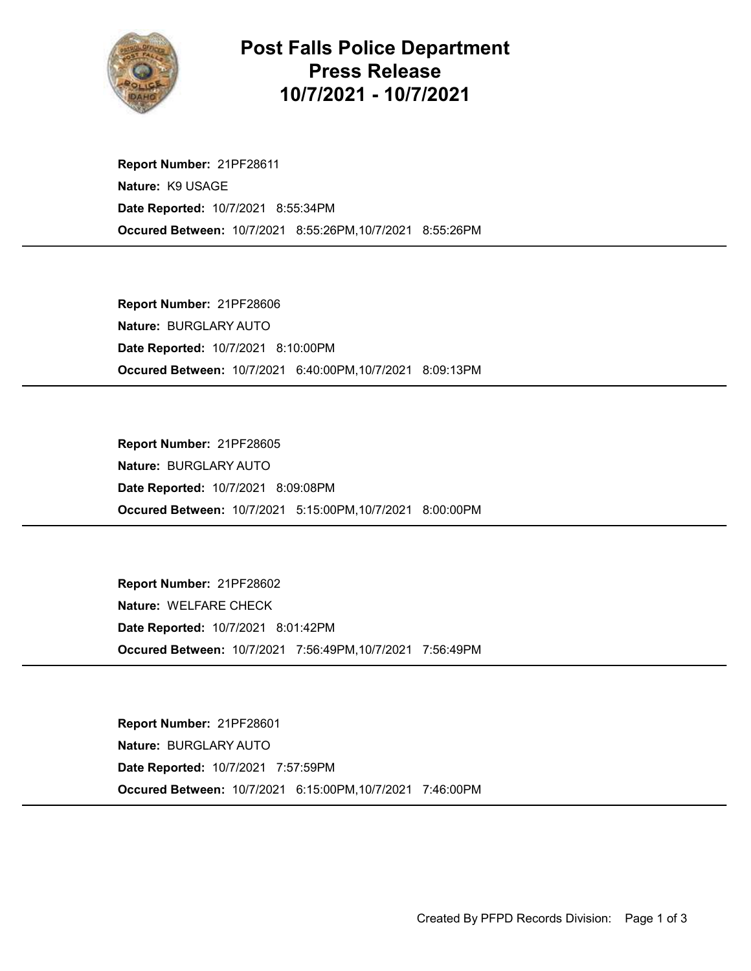

## Post Falls Police Department Press Release 10/7/2021 - 10/7/2021

Occured Between: 10/7/2021 8:55:26PM,10/7/2021 8:55:26PM Report Number: 21PF28611 Nature: K9 USAGE Date Reported: 10/7/2021 8:55:34PM

Occured Between: 10/7/2021 6:40:00PM,10/7/2021 8:09:13PM Report Number: 21PF28606 Nature: BURGLARY AUTO Date Reported: 10/7/2021 8:10:00PM

Occured Between: 10/7/2021 5:15:00PM,10/7/2021 8:00:00PM Report Number: 21PF28605 Nature: BURGLARY AUTO Date Reported: 10/7/2021 8:09:08PM

Occured Between: 10/7/2021 7:56:49PM,10/7/2021 7:56:49PM Report Number: 21PF28602 Nature: WELFARE CHECK Date Reported: 10/7/2021 8:01:42PM

Occured Between: 10/7/2021 6:15:00PM,10/7/2021 7:46:00PM Report Number: 21PF28601 Nature: BURGLARY AUTO Date Reported: 10/7/2021 7:57:59PM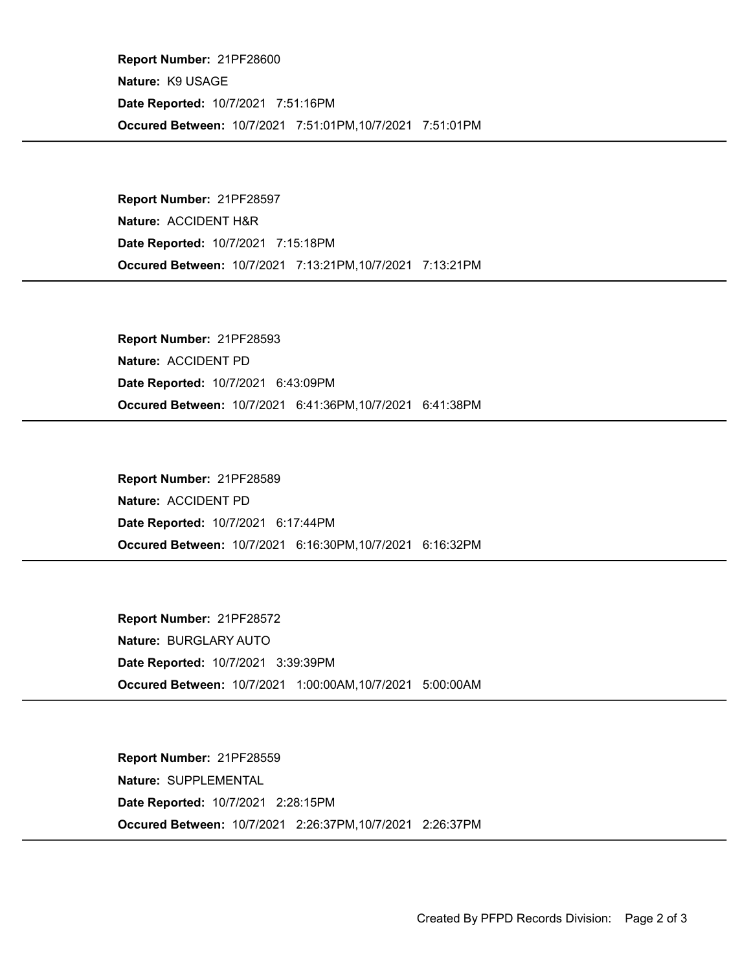Occured Between: 10/7/2021 7:51:01PM,10/7/2021 7:51:01PM Report Number: 21PF28600 Nature: K9 USAGE Date Reported: 10/7/2021 7:51:16PM

Occured Between: 10/7/2021 7:13:21PM,10/7/2021 7:13:21PM Report Number: 21PF28597 Nature: ACCIDENT H&R Date Reported: 10/7/2021 7:15:18PM

Occured Between: 10/7/2021 6:41:36PM,10/7/2021 6:41:38PM Report Number: 21PF28593 Nature: ACCIDENT PD Date Reported: 10/7/2021 6:43:09PM

Occured Between: 10/7/2021 6:16:30PM,10/7/2021 6:16:32PM Report Number: 21PF28589 Nature: ACCIDENT PD Date Reported: 10/7/2021 6:17:44PM

Occured Between: 10/7/2021 1:00:00AM,10/7/2021 5:00:00AM Report Number: 21PF28572 Nature: BURGLARY AUTO Date Reported: 10/7/2021 3:39:39PM

Occured Between: 10/7/2021 2:26:37PM,10/7/2021 2:26:37PM Report Number: 21PF28559 Nature: SUPPLEMENTAL Date Reported: 10/7/2021 2:28:15PM